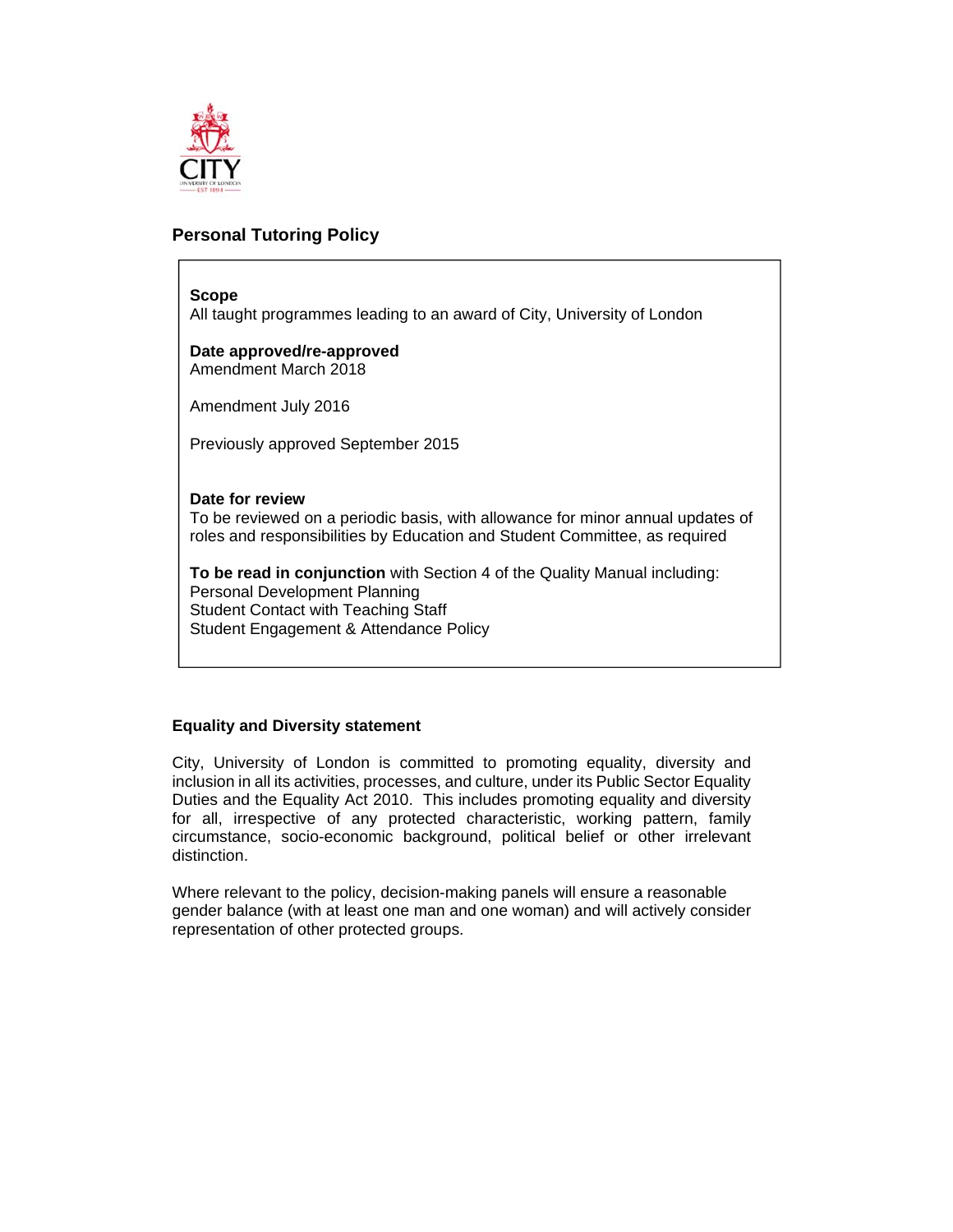

# **Personal Tutoring Policy**

### **Scope**

All taught programmes leading to an award of City, University of London

**Date approved/re-approved**  Amendment March 2018

Amendment July 2016

Previously approved September 2015

### **Date for review**

To be reviewed on a periodic basis, with allowance for minor annual updates of roles and responsibilities by Education and Student Committee, as required

**To be read in conjunction** with Section 4 of the Quality Manual including: Personal Development Planning Student Contact with Teaching Staff Student Engagement & Attendance Policy

### **Equality and Diversity statement**

City, University of London is committed to promoting equality, diversity and inclusion in all its activities, processes, and culture, under its Public Sector Equality Duties and the Equality Act 2010. This includes promoting equality and diversity for all, irrespective of any protected characteristic, working pattern, family circumstance, socio-economic background, political belief or other irrelevant distinction.

Where relevant to the policy, decision-making panels will ensure a reasonable gender balance (with at least one man and one woman) and will actively consider representation of other protected groups.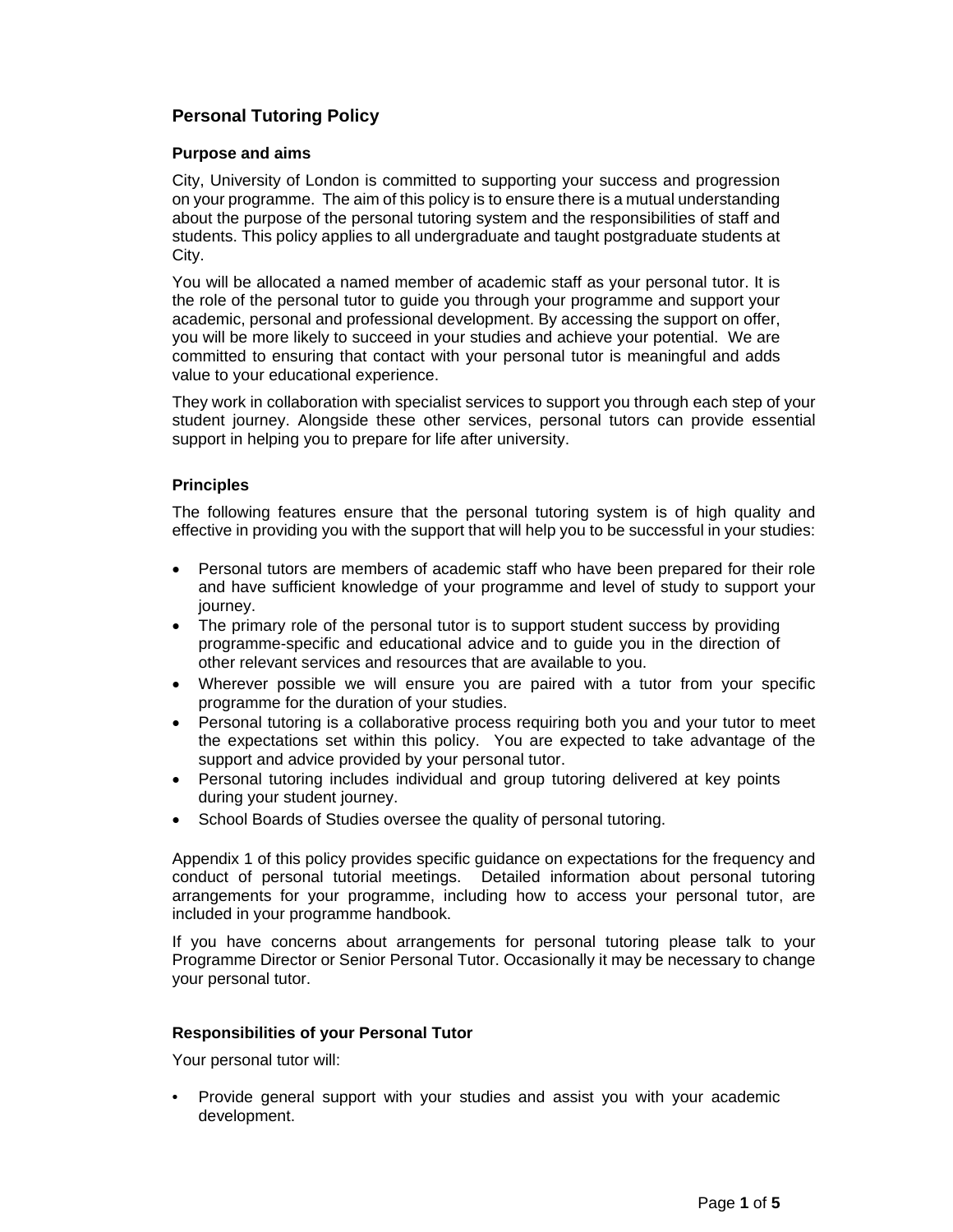# **Personal Tutoring Policy**

## **Purpose and aims**

City, University of London is committed to supporting your success and progression on your programme. The aim of this policy is to ensure there is a mutual understanding about the purpose of the personal tutoring system and the responsibilities of staff and students. This policy applies to all undergraduate and taught postgraduate students at City.

You will be allocated a named member of academic staff as your personal tutor. It is the role of the personal tutor to guide you through your programme and support your academic, personal and professional development. By accessing the support on offer, you will be more likely to succeed in your studies and achieve your potential. We are committed to ensuring that contact with your personal tutor is meaningful and adds value to your educational experience.

They work in collaboration with specialist services to support you through each step of your student journey. Alongside these other services, personal tutors can provide essential support in helping you to prepare for life after university.

## **Principles**

The following features ensure that the personal tutoring system is of high quality and effective in providing you with the support that will help you to be successful in your studies:

- Personal tutors are members of academic staff who have been prepared for their role and have sufficient knowledge of your programme and level of study to support your journey.
- The primary role of the personal tutor is to support student success by providing programme-specific and educational advice and to guide you in the direction of other relevant services and resources that are available to you.
- Wherever possible we will ensure you are paired with a tutor from your specific programme for the duration of your studies.
- Personal tutoring is a collaborative process requiring both you and your tutor to meet the expectations set within this policy. You are expected to take advantage of the support and advice provided by your personal tutor.
- Personal tutoring includes individual and group tutoring delivered at key points during your student journey.
- School Boards of Studies oversee the quality of personal tutoring.

Appendix 1 of this policy provides specific guidance on expectations for the frequency and conduct of personal tutorial meetings. Detailed information about personal tutoring arrangements for your programme, including how to access your personal tutor, are included in your programme handbook.

If you have concerns about arrangements for personal tutoring please talk to your Programme Director or Senior Personal Tutor. Occasionally it may be necessary to change your personal tutor.

### **Responsibilities of your Personal Tutor**

Your personal tutor will:

• Provide general support with your studies and assist you with your academic development.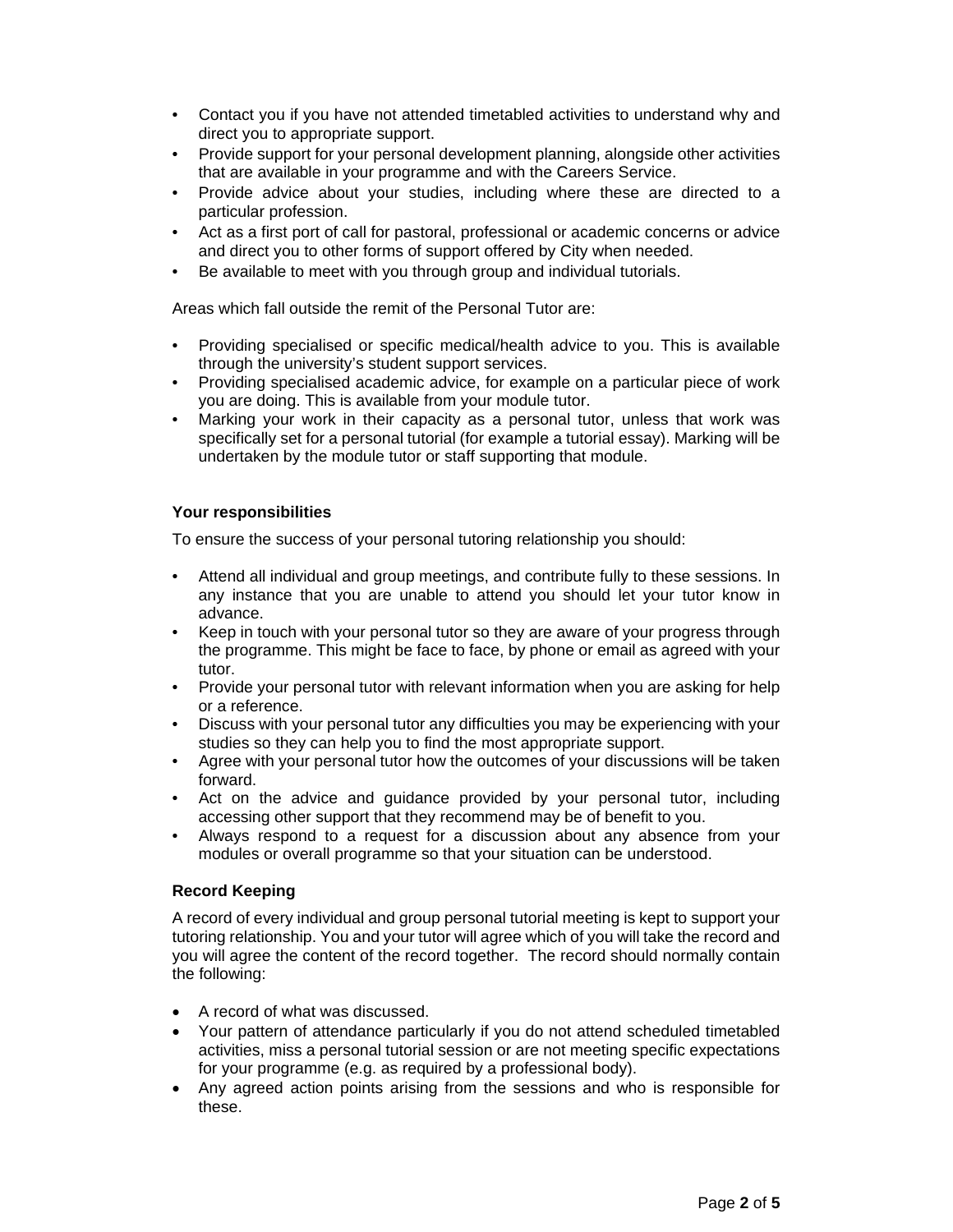- Contact you if you have not attended timetabled activities to understand why and direct you to appropriate support.
- Provide support for your personal development planning, alongside other activities that are available in your programme and with the Careers Service.
- Provide advice about your studies, including where these are directed to a particular profession.
- Act as a first port of call for pastoral, professional or academic concerns or advice and direct you to other forms of support offered by City when needed.
- Be available to meet with you through group and individual tutorials.

Areas which fall outside the remit of the Personal Tutor are:

- Providing specialised or specific medical/health advice to you. This is available through the university's student support services.
- Providing specialised academic advice, for example on a particular piece of work you are doing. This is available from your module tutor.
- Marking your work in their capacity as a personal tutor, unless that work was specifically set for a personal tutorial (for example a tutorial essay). Marking will be undertaken by the module tutor or staff supporting that module.

## **Your responsibilities**

To ensure the success of your personal tutoring relationship you should:

- Attend all individual and group meetings, and contribute fully to these sessions. In any instance that you are unable to attend you should let your tutor know in advance.
- Keep in touch with your personal tutor so they are aware of your progress through the programme. This might be face to face, by phone or email as agreed with your tutor.
- Provide your personal tutor with relevant information when you are asking for help or a reference.
- Discuss with your personal tutor any difficulties you may be experiencing with your studies so they can help you to find the most appropriate support.
- Agree with your personal tutor how the outcomes of your discussions will be taken forward.
- Act on the advice and guidance provided by your personal tutor, including accessing other support that they recommend may be of benefit to you.
- Always respond to a request for a discussion about any absence from your modules or overall programme so that your situation can be understood.

### **Record Keeping**

A record of every individual and group personal tutorial meeting is kept to support your tutoring relationship. You and your tutor will agree which of you will take the record and you will agree the content of the record together. The record should normally contain the following:

- A record of what was discussed.
- Your pattern of attendance particularly if you do not attend scheduled timetabled activities, miss a personal tutorial session or are not meeting specific expectations for your programme (e.g. as required by a professional body).
- Any agreed action points arising from the sessions and who is responsible for these.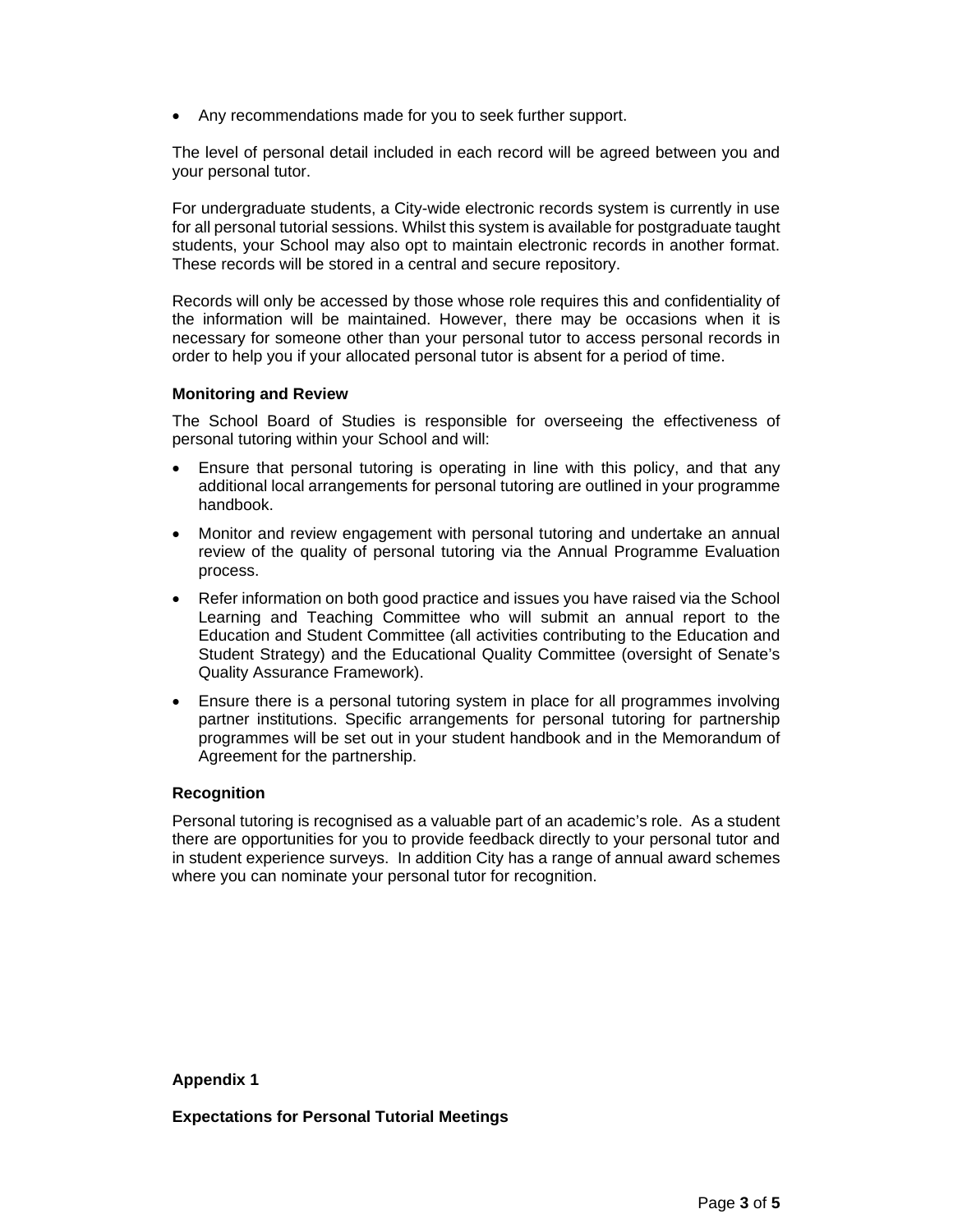Any recommendations made for you to seek further support.

The level of personal detail included in each record will be agreed between you and your personal tutor.

For undergraduate students, a City-wide electronic records system is currently in use for all personal tutorial sessions. Whilst this system is available for postgraduate taught students, your School may also opt to maintain electronic records in another format. These records will be stored in a central and secure repository.

Records will only be accessed by those whose role requires this and confidentiality of the information will be maintained. However, there may be occasions when it is necessary for someone other than your personal tutor to access personal records in order to help you if your allocated personal tutor is absent for a period of time.

## **Monitoring and Review**

The School Board of Studies is responsible for overseeing the effectiveness of personal tutoring within your School and will:

- Ensure that personal tutoring is operating in line with this policy, and that any additional local arrangements for personal tutoring are outlined in your programme handbook.
- Monitor and review engagement with personal tutoring and undertake an annual review of the quality of personal tutoring via the Annual Programme Evaluation process.
- Refer information on both good practice and issues you have raised via the School Learning and Teaching Committee who will submit an annual report to the Education and Student Committee (all activities contributing to the Education and Student Strategy) and the Educational Quality Committee (oversight of Senate's Quality Assurance Framework).
- Ensure there is a personal tutoring system in place for all programmes involving partner institutions. Specific arrangements for personal tutoring for partnership programmes will be set out in your student handbook and in the Memorandum of Agreement for the partnership.

### **Recognition**

Personal tutoring is recognised as a valuable part of an academic's role. As a student there are opportunities for you to provide feedback directly to your personal tutor and in student experience surveys. In addition City has a range of annual award schemes where you can nominate your personal tutor for recognition.

## **Appendix 1**

**Expectations for Personal Tutorial Meetings**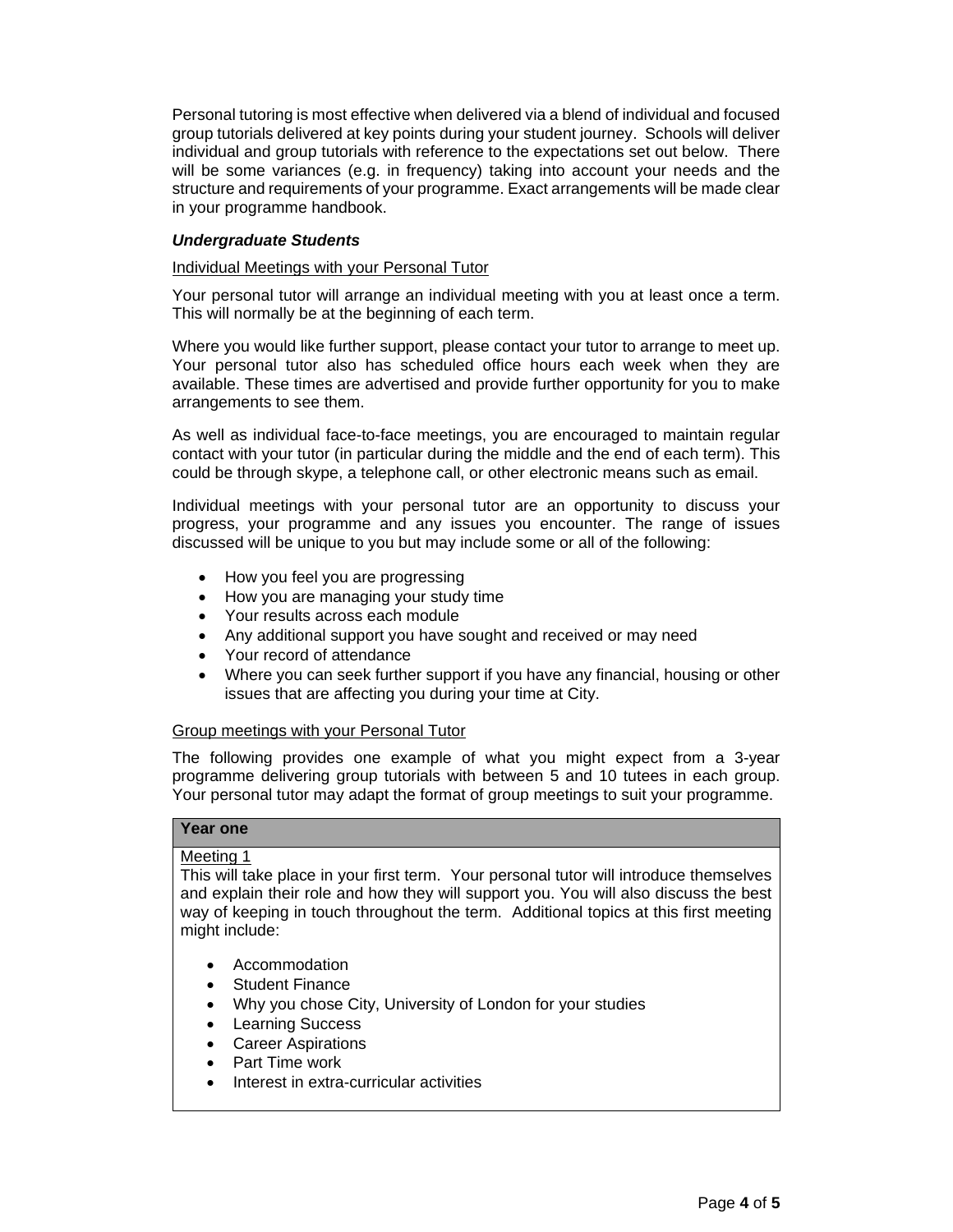Personal tutoring is most effective when delivered via a blend of individual and focused group tutorials delivered at key points during your student journey. Schools will deliver individual and group tutorials with reference to the expectations set out below. There will be some variances (e.g. in frequency) taking into account your needs and the structure and requirements of your programme. Exact arrangements will be made clear in your programme handbook.

## *Undergraduate Students*

### Individual Meetings with your Personal Tutor

Your personal tutor will arrange an individual meeting with you at least once a term. This will normally be at the beginning of each term.

Where you would like further support, please contact your tutor to arrange to meet up. Your personal tutor also has scheduled office hours each week when they are available. These times are advertised and provide further opportunity for you to make arrangements to see them.

As well as individual face-to-face meetings, you are encouraged to maintain regular contact with your tutor (in particular during the middle and the end of each term). This could be through skype, a telephone call, or other electronic means such as email.

Individual meetings with your personal tutor are an opportunity to discuss your progress, your programme and any issues you encounter. The range of issues discussed will be unique to you but may include some or all of the following:

- How you feel you are progressing
- How you are managing your study time
- Your results across each module
- Any additional support you have sought and received or may need
- Your record of attendance
- Where you can seek further support if you have any financial, housing or other issues that are affecting you during your time at City.

### Group meetings with your Personal Tutor

The following provides one example of what you might expect from a 3-year programme delivering group tutorials with between 5 and 10 tutees in each group. Your personal tutor may adapt the format of group meetings to suit your programme.

## **Year one**

### Meeting 1

This will take place in your first term. Your personal tutor will introduce themselves and explain their role and how they will support you. You will also discuss the best way of keeping in touch throughout the term. Additional topics at this first meeting might include:

- Accommodation
- Student Finance
- Why you chose City, University of London for your studies
- Learning Success
- Career Aspirations
- Part Time work
- Interest in extra-curricular activities